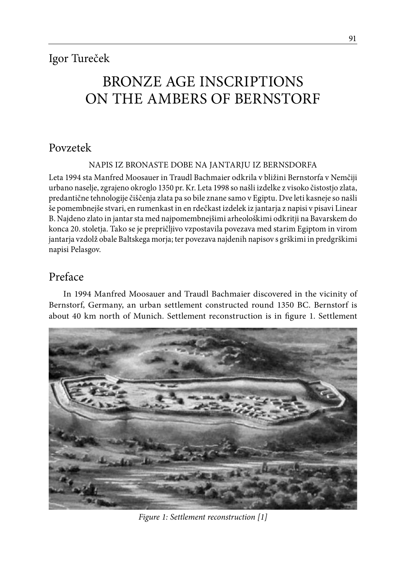# Bronze Age Inscriptions On The Ambers Of Bernstorf

# Povzetek

NAPIS IZ BRONASTE DOBE NA JANTARJU IZ BERNSDORFA

Leta 1994 sta Manfred Moosauer in Traudl Bachmaier odkrila v bližini Bernstorfa v Nemčiji urbano naselje, zgrajeno okroglo 1350 pr. Kr. Leta 1998 so našli izdelke z visoko čistostjo zlata, predantične tehnologije čiščenja zlata pa so bile znane samo v Egiptu. Dve leti kasneje so našli še pomembnejše stvari, en rumenkast in en rdečkast izdelek iz jantarja z napisi v pisavi Linear B. Najdeno zlato in jantar sta med najpomembnejšimi arheološkimi odkritji na Bavarskem do konca 20. stoletja. Tako se je prepričljivo vzpostavila povezava med starim Egiptom in virom jantarja vzdolž obale Baltskega morja; ter povezava najdenih napisov s grškimi in predgrškimi napisi Pelasgov.

# Preface

In 1994 Manfred Moosauer and Traudl Bachmaier discovered in the vicinity of Bernstorf, Germany, an urban settlement constructed round 1350 BC. Bernstorf is about 40 km north of Munich. Settlement reconstruction is in figure 1. Settlement



*Figure 1: Settlement reconstruction [1]*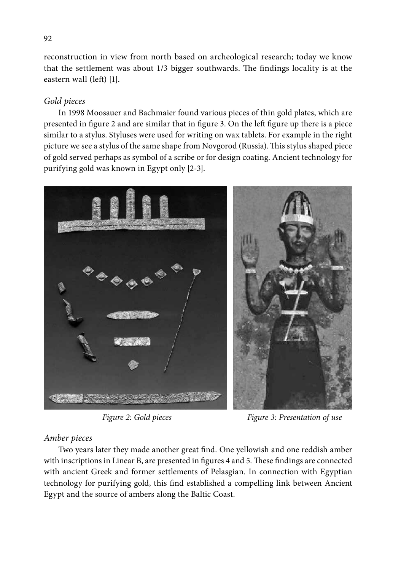reconstruction in view from north based on archeological research; today we know that the settlement was about 1/3 bigger southwards. The findings locality is at the eastern wall (left) [1].

## *Gold pieces*

In 1998 Moosauer and Bachmaier found various pieces of thin gold plates, which are presented in figure 2 and are similar that in figure 3. On the left figure up there is a piece similar to a stylus. Styluses were used for writing on wax tablets. For example in the right picture we see a stylus of the same shape from Novgorod (Russia). This stylus shaped piece of gold served perhaps as symbol of a scribe or for design coating. Ancient technology for purifying gold was known in Egypt only [2-3].



*Figure 2: Gold pieces Figure 3: Presentation of use*

#### *Amber pieces*

Two years later they made another great find. One yellowish and one reddish amber with inscriptions in Linear B, are presented in figures 4 and 5. These findings are connected with ancient Greek and former settlements of Pelasgian. In connection with Egyptian technology for purifying gold, this find established a compelling link between Ancient Egypt and the source of ambers along the Baltic Coast.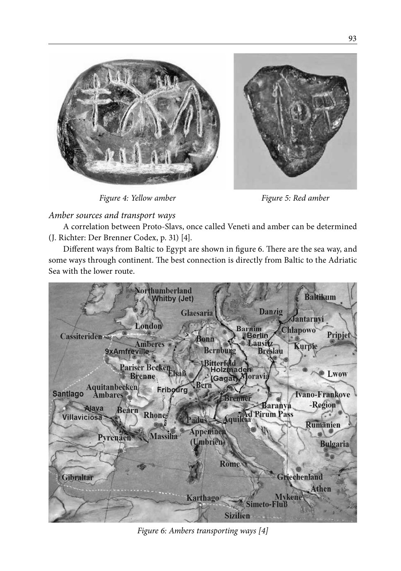

*Figure 4: Yellow amber Figure 5: Red amber*

## *Amber sources and transport ways*

A correlation between Proto-Slavs, once called Veneti and amber can be determined (J. Richter: Der Brenner Codex, p. 31) [4].

Different ways from Baltic to Egypt are shown in figure 6. There are the sea way, and some ways through continent. The best connection is directly from Baltic to the Adriatic Sea with the lower route.



*Figure 6: Ambers transporting ways [4]*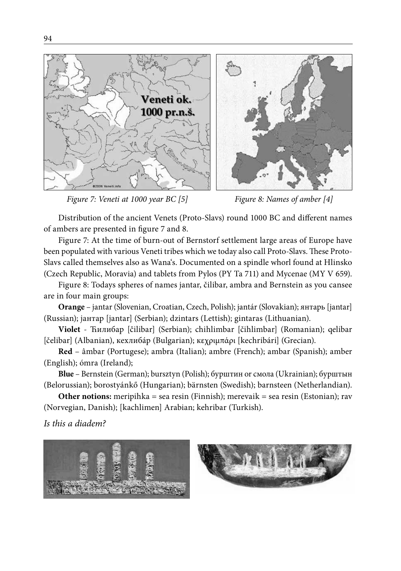

*Figure 7: Veneti at 1000 year BC [5] Figure 8: Names of amber [4]*

Distribution of the ancient Venets (Proto-Slavs) round 1000 BC and different names of ambers are presented in figure 7 and 8.

Figure 7: At the time of burn-out of Bernstorf settlement large areas of Europe have been populated with various Veneti tribes which we today also call Proto-Slavs. These Proto-Slavs called themselves also as Wana's. Documented on a spindle whorl found at Hlinsko (Czech Republic, Moravia) and tablets from Pylos (PY Ta 711) and Mycenae (MY V 659).

Figure 8: Todays spheres of names jantar, čilibar, ambra and Bernstein as you cansee are in four main groups:

**Orange** – jantar (Slovenian, Croatian, Czech, Polish); jantár (Slovakian); янтaрь [jantar] (Russian); јантар [jantar] (Serbian); dzintars (Lettish); gintaras (Lithuanian).

**Violet** - Ћилибар [čilibar] (Serbian); chihlimbar [čihlimbar] (Romanian); qelibar [čelibar] (Albanian), кеxлибáр (Bulgarian); кεχριμπάρι [kechribári] (Grecian).

**Red** – âmbar (Portugese); ambra (Italian); ambre (French); ambar (Spanish); amber (English); ómra (Ireland);

**Blue** – Bernstein (German); bursztyn (Polish); бурштин or смола (Ukrainian); бурштын (Belorussian); borostyánkő (Hungarian); bärnsten (Swedish); barnsteen (Netherlandian).

**Other notions:** meripihka = sea resin (Finnish); merevaik = sea resin (Estonian); rav (Norvegian, Danish); [kachlimen] Arabian; kehribar (Turkish).

*Is this a diadem?*



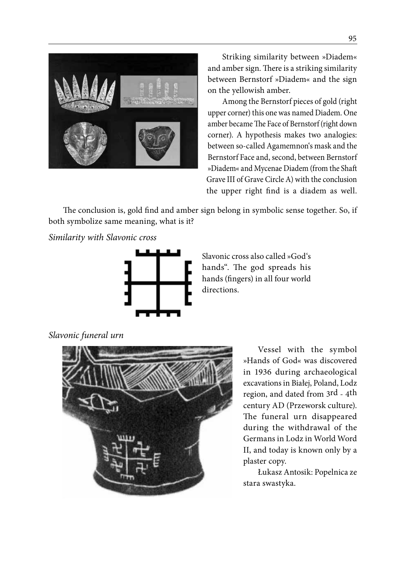

Striking similarity between »Diadem« and amber sign. There is a striking similarity between Bernstorf »Diadem« and the sign on the yellowish amber.

Among the Bernstorf pieces of gold (right upper corner) this one was named Diadem. One amber became The Face of Bernstorf (right down corner). A hypothesis makes two analogies: between so-called Agamemnon's mask and the Bernstorf Face and, second, between Bernstorf »Diadem« and Mycenae Diadem (from the Shaft Grave III of Grave Circle A) with the conclusion the upper right find is a diadem as well.

The conclusion is, gold find and amber sign belong in symbolic sense together. So, if both symbolize same meaning, what is it?

*Similarity with Slavonic cross*



Slavonic cross also called »God's hands". The god spreads his hands (fingers) in all four world directions.

*Slavonic funeral urn*



Vessel with the symbol »Hands of God« was discovered in 1936 during archaeological excavations in Białej, Poland, Lodz region, and dated from 3rd - 4th century AD (Przeworsk culture). The funeral urn disappeared during the withdrawal of the Germans in Lodz in World Word II, and today is known only by a plaster copy.

Łukasz Antosik: Popelnica ze stara swastyka.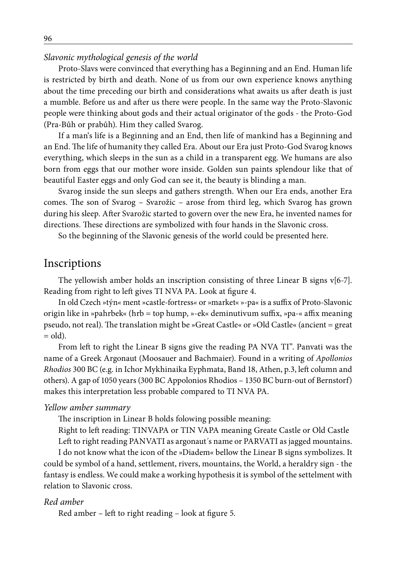#### *Slavonic mythological genesis of the world*

Proto-Slavs were convinced that everything has a Beginning and an End. Human life is restricted by birth and death. None of us from our own experience knows anything about the time preceding our birth and considerations what awaits us after death is just a mumble. Before us and after us there were people. In the same way the Proto-Slavonic people were thinking about gods and their actual originator of the gods - the Proto-God (Pra-Bůh or prabůh). Him they called Svarog.

If a man's life is a Beginning and an End, then life of mankind has a Beginning and an End. The life of humanity they called Era. About our Era just Proto-God Svarog knows everything, which sleeps in the sun as a child in a transparent egg. We humans are also born from eggs that our mother wore inside. Golden sun paints splendour like that of beautiful Easter eggs and only God can see it, the beauty is blinding a man.

Svarog inside the sun sleeps and gathers strength. When our Era ends, another Era comes. The son of Svarog – Svarožic – arose from third leg, which Svarog has grown during his sleep. After Svarožic started to govern over the new Era, he invented names for directions. These directions are symbolized with four hands in the Slavonic cross.

So the beginning of the Slavonic genesis of the world could be presented here.

#### Inscriptions

The yellowish amber holds an inscription consisting of three Linear B signs v[6-7]. Reading from right to left gives TI NVA PA. Look at figure 4.

In old Czech »týn*«* ment »castle-fortress*«* or »market« »-pa« is a suffix of Proto-Slavonic origin like in »pahrbek« (hrb = top hump, »-ek« deminutivum suffix, »pa-« affix meaning pseudo, not real). The translation might be »Great Castle« or »Old Castle« (ancient = great  $=$  old).

From left to right the Linear B signs give the reading PA NVA TI". Panvati was the name of a Greek Argonaut (Moosauer and Bachmaier). Found in a writing of *Apollonios Rhodios* 300 BC (e.g. in Ichor Mykhinaika Eyphmata, Band 18, Athen, p.3, left column and others). A gap of 1050 years (300 BC Appolonios Rhodios – 1350 BC burn-out of Bernstorf) makes this interpretation less probable compared to TI NVA PA.

#### *Yellow amber summary*

The inscription in Linear B holds folowing possible meaning:

Right to left reading: TINVAPA or TIN VAPA meaning Greate Castle or Old Castle Left to right reading PANVATI as argonaut´s name or PARVATI as jagged mountains.

I do not know what the icon of the »Diadem« bellow the Linear B signs symbolizes. It could be symbol of a hand, settlement, rivers, mountains, the World, a heraldry sign - the fantasy is endless. We could make a working hypothesis it is symbol of the settelment with relation to Slavonic cross.

#### *Red amber*

Red amber – left to right reading – look at figure 5.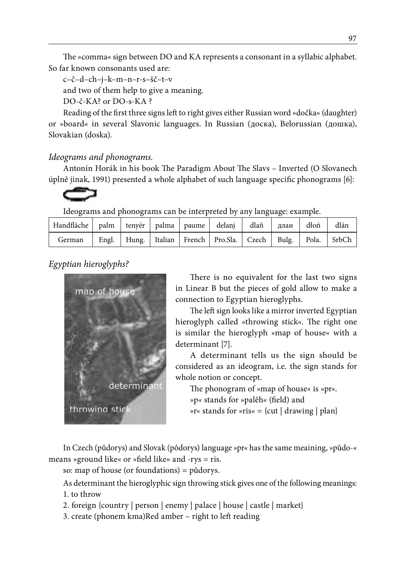The »comma« sign between DO and KA represents a consonant in a syllabic alphabet. So far known consonants used are:

c–č–d–ch–j–k–m–n–r-s–šč–t–v

and two of them help to give a meaning.

DO-č-KA? or DO-s-KA ?

Reading of the first three signs left to right gives either Russian word »dočka« (daughter) or »board« in several Slavonic languages. In Russian (доска), Belorussian (дошка), Slovakian (doska).

#### *Ideograms and phonograms.*

Antonín Horák in his book The Paradigm About The Slavs – Inverted (O Slovanech úplně jinak, 1991) presented a whole alphabet of such language specific phonograms [6]:

Ideograms and phonograms can be interpreted by any language: example.

| Handfläche   palm   tenyér   palma   paume   delanj   dlaň   длан   dłoń   dlán |  |  |                                                                             |  |  |
|---------------------------------------------------------------------------------|--|--|-----------------------------------------------------------------------------|--|--|
| German                                                                          |  |  | Engl.   Hung.   Italian   French   Pro.Sla.   Czech   Bulg.   Pola.   SrbCh |  |  |

*Egyptian hieroglyphs?*



There is no equivalent for the last two signs in Linear B but the pieces of gold allow to make a connection to Egyptian hieroglyphs.

The left sign looks like a mirror inverted Egyptian hieroglyph called »throwing stick*«*. The right one is similar the hieroglyph »map of house*«* with a determinant [7].

A determinant tells us the sign should be considered as an ideogram, i.e. the sign stands for whole notion or concept.

The phonogram of »map of house*«* is »pr*«*. »p*«* stands for »palěh*«* (field) and »r*«* stands for »ris*«* = {cut | drawing | plan}

In Czech (půdorys) and Slovak (pôdorys) language »pr« has the same meaining, »půdo-« means »ground like« or »field like« and -rys = ris.

so: map of house (or foundations) = půdorys.

As determinant the hieroglyphic sign throwing stick gives one of the following meanings:

- 1. to throw
- 2. foreign {country | person | enemy | palace | house | castle | market}
- 3. create (phonem kma)Red amber right to left reading